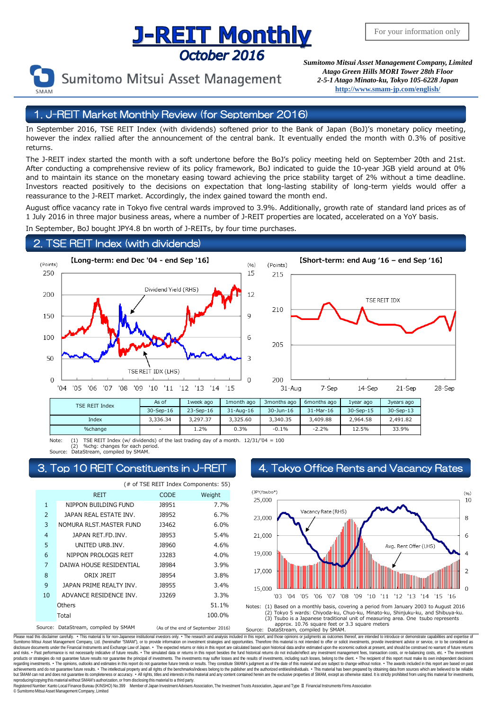## **J-REIT Monthly** October 2016



Sumitomo Mitsui Asset Management

*Sumitomo Mitsui Asset Management Company, Limited Atago Green Hills MORI Tower 28th Floor 2-5-1 Atago Minato-ku, Tokyo 105-6228 Japan* **<http://www.smam-jp.com/english/>**

#### 1. J-REIT Market Monthly Review (for September 2016)

In September 2016, TSE REIT Index (with dividends) softened prior to the Bank of Japan (BoJ)'s monetary policy meeting, however the index rallied after the announcement of the central bank. It eventually ended the month with 0.3% of positive returns.

The J-REIT index started the month with a soft undertone before the BoJ's policy meeting held on September 20th and 21st. After conducting a comprehensive review of its policy framework, BoJ indicated to guide the 10-year JGB yield around at 0% and to maintain its stance on the monetary easing toward achieving the price stability target of 2% without a time deadline. Investors reacted positively to the decisions on expectation that long-lasting stability of long-term yields would offer a reassurance to the J-REIT market. Accordingly, the index gained toward the month end.

August office vacancy rate in Tokyo five central wards improved to 3.9%. Additionally, growth rate of standard land prices as of 1 July 2016 in three major business areas, where a number of J-REIT properties are located, accelerated on a YoY basis.

In September, BoJ bought JPY4.8 bn worth of J-REITs, by four time purchases.

#### 2. TSE REIT Index (with dividends)





| <b>TSE REIT Index</b> | As of                    | 1week ago | 1 month ago           | 3 months ago | 6months ago | 1year ago | 3years ago |
|-----------------------|--------------------------|-----------|-----------------------|--------------|-------------|-----------|------------|
|                       | 30-Sep-16                | 23-Sep-16 | $31 - \text{Au} - 16$ | 30-Jun-16    | 31-Mar-16   | 30-Sep-15 | 30-Sep-13  |
| Index                 | 3.336.34                 | 3.297.37  | 3.325.60              | 3.340.35     | 3,409.88    | 2.964.58  | 2,491.82   |
| %change               | $\overline{\phantom{a}}$ | 1.2%      | 0.3%                  | $-0.1%$      | $-2.2%$     | 12.5%     | 33.9%      |

Note: (1) TSE REIT Index (w/ dividends) of the last trading day of a month.  $12/31/704 = 100$ 

(2) %chg: changes for each period. Source: DataStream, compiled by SMAM.

|                | (# of TSE REIT Index Components: 55) |              |                                   |  |  |  |  |
|----------------|--------------------------------------|--------------|-----------------------------------|--|--|--|--|
|                | <b>REIT</b>                          | <b>CODE</b>  | Weight                            |  |  |  |  |
| $\mathbf{1}$   | NIPPON BUILDING FUND                 | 18951        | 7.7%                              |  |  |  |  |
| 2              | JAPAN REAL ESTATE INV.               | <b>J8952</b> | 6.7%                              |  |  |  |  |
| 3              | NOMURA RLST.MASTER FUND              | 13462        | 6.0%                              |  |  |  |  |
| $\overline{4}$ | JAPAN RET.FD.INV.                    | <b>J8953</b> | 5.4%                              |  |  |  |  |
| 5              | UNITED URB.INV.                      | <b>J8960</b> | 4.6%                              |  |  |  |  |
| 6              | NIPPON PROLOGIS REIT                 | J3283        | 4.0%                              |  |  |  |  |
| 7              | DAIWA HOUSE RESIDENTIAL              | <b>J8984</b> | 3.9%                              |  |  |  |  |
| 8              | ORIX JREIT                           | <b>J8954</b> | 3.8%                              |  |  |  |  |
| 9              | <b>JAPAN PRIME REALTY INV.</b>       | <b>J8955</b> | 3.4%                              |  |  |  |  |
| 10             | ADVANCE RESIDENCE INV.               | 13269        | 3.3%                              |  |  |  |  |
|                | Others                               |              | 51.1%                             |  |  |  |  |
|                | Total                                |              | 100.0%                            |  |  |  |  |
| Source:        | DataStream, compiled by SMAM         |              | (As of the end of September 2016) |  |  |  |  |

### 3. Top 10 REIT Constituents in J-REIT 4. Tokyo Office Rents and Vacancy Rates



DataStream, compiled by SMAM.

Please read this disclaimer carefuly. • This material is for non-Japanese institutional investors only. • The research and analysis included in this report, and those opinions or judgments as outcomes thereof, are intended disclosure documents under the Financial Instruments and Exchange Law of Japan. • The expected relums or risks in this report are calculated based upon historial data and/or estimated upon the economic outlook at present, products or strategies do not guarantee future results nor guarantee the principal of investments. The investments may suffer losses and the results of investments, including such losses, belong to the client. . The recipi regarding investments. • The opinions, outlooks and estimates in this report do not guarantee future trends or results. They constitute SMAM's judgment as of the date of this material and are subject to change without noti reproducing/copying this material without SMAM's authorization, or from disclosing thismaterial to a third party.

egistered Number: Kanto Local Finance Bureau (KINSHO) No.399 Member of Japan Investment Advisers Association, The Investment Trusts Association, Japan and Type Ⅱ Financial Instruments Firms Association © SumitomoMitsui Asset Management Company, Limited